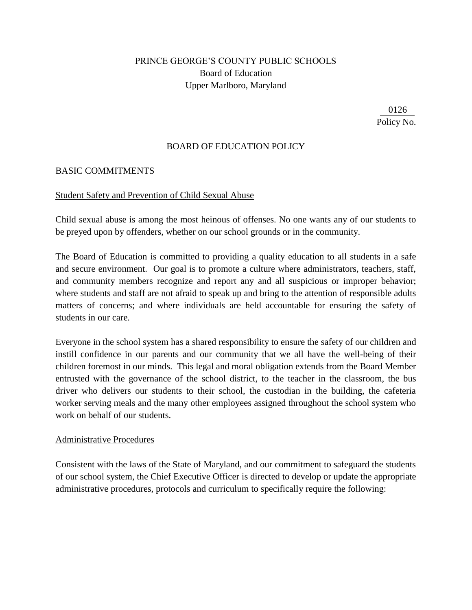# PRINCE GEORGE'S COUNTY PUBLIC SCHOOLS Board of Education Upper Marlboro, Maryland

0126 Policy No.

### BOARD OF EDUCATION POLICY

#### BASIC COMMITMENTS

#### Student Safety and Prevention of Child Sexual Abuse

Child sexual abuse is among the most heinous of offenses. No one wants any of our students to be preyed upon by offenders, whether on our school grounds or in the community.

The Board of Education is committed to providing a quality education to all students in a safe and secure environment. Our goal is to promote a culture where administrators, teachers, staff, and community members recognize and report any and all suspicious or improper behavior; where students and staff are not afraid to speak up and bring to the attention of responsible adults matters of concerns; and where individuals are held accountable for ensuring the safety of students in our care.

Everyone in the school system has a shared responsibility to ensure the safety of our children and instill confidence in our parents and our community that we all have the well-being of their children foremost in our minds. This legal and moral obligation extends from the Board Member entrusted with the governance of the school district, to the teacher in the classroom, the bus driver who delivers our students to their school, the custodian in the building, the cafeteria worker serving meals and the many other employees assigned throughout the school system who work on behalf of our students.

#### Administrative Procedures

Consistent with the laws of the State of Maryland, and our commitment to safeguard the students of our school system, the Chief Executive Officer is directed to develop or update the appropriate administrative procedures, protocols and curriculum to specifically require the following: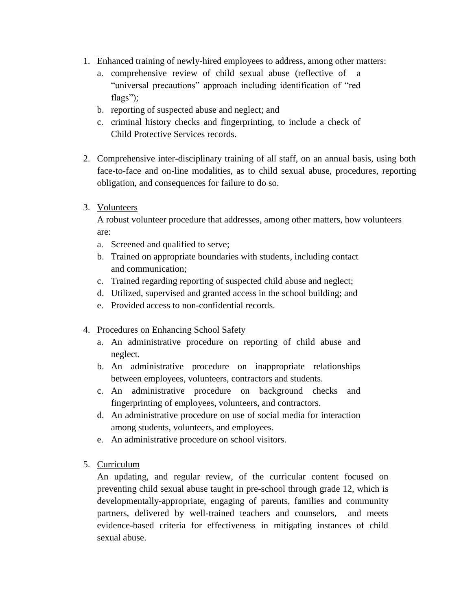- 1. Enhanced training of newly-hired employees to address, among other matters:
	- a. comprehensive review of child sexual abuse (reflective of a "universal precautions" approach including identification of "red flags");
	- b. reporting of suspected abuse and neglect; and
	- c. criminal history checks and fingerprinting, to include a check of Child Protective Services records.
- 2. Comprehensive inter-disciplinary training of all staff, on an annual basis, using both face-to-face and on-line modalities, as to child sexual abuse, procedures, reporting obligation, and consequences for failure to do so.
- 3. Volunteers

A robust volunteer procedure that addresses, among other matters, how volunteers are:

- a. Screened and qualified to serve;
- b. Trained on appropriate boundaries with students, including contact and communication;
- c. Trained regarding reporting of suspected child abuse and neglect;
- d. Utilized, supervised and granted access in the school building; and
- e. Provided access to non-confidential records.
- 4. Procedures on Enhancing School Safety
	- a. An administrative procedure on reporting of child abuse and neglect.
	- b. An administrative procedure on inappropriate relationships between employees, volunteers, contractors and students.
	- c. An administrative procedure on background checks and fingerprinting of employees, volunteers, and contractors.
	- d. An administrative procedure on use of social media for interaction among students, volunteers, and employees.
	- e. An administrative procedure on school visitors.
- 5. Curriculum

An updating, and regular review, of the curricular content focused on preventing child sexual abuse taught in pre-school through grade 12, which is developmentally-appropriate, engaging of parents, families and community partners, delivered by well-trained teachers and counselors, and meets evidence-based criteria for effectiveness in mitigating instances of child sexual abuse.